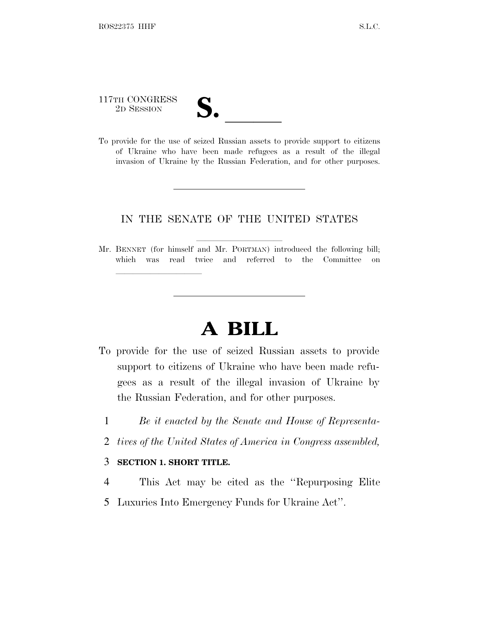# 117TH CONGRESS

lland and a state of the state of the state of the state of the state of the state of the state of the state o

117TH CONGRESS<br>
2D SESSION<br>
To provide for the use of seized Russian assets to provide support to citizens of Ukraine who have been made refugees as a result of the illegal invasion of Ukraine by the Russian Federation, and for other purposes.

### IN THE SENATE OF THE UNITED STATES

Mr. BENNET (for himself and Mr. PORTMAN) introduced the following bill; which was read twice and referred to the Committee on

## **A BILL**

- To provide for the use of seized Russian assets to provide support to citizens of Ukraine who have been made refugees as a result of the illegal invasion of Ukraine by the Russian Federation, and for other purposes.
	- 1 *Be it enacted by the Senate and House of Representa-*
	- 2 *tives of the United States of America in Congress assembled,*

### 3 **SECTION 1. SHORT TITLE.**

- 4 This Act may be cited as the ''Repurposing Elite
- 5 Luxuries Into Emergency Funds for Ukraine Act''.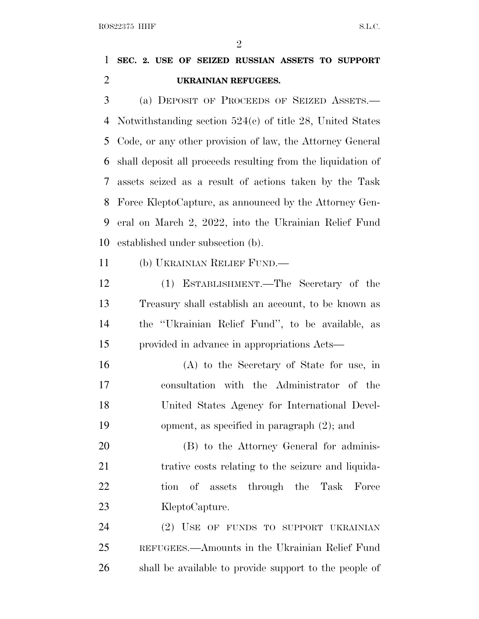$\mathfrak{D}$ 

### **SEC. 2. USE OF SEIZED RUSSIAN ASSETS TO SUPPORT UKRAINIAN REFUGEES.**

 (a) DEPOSIT OF PROCEEDS OF SEIZED ASSETS.— Notwithstanding section 524(c) of title 28, United States Code, or any other provision of law, the Attorney General shall deposit all proceeds resulting from the liquidation of assets seized as a result of actions taken by the Task Force KleptoCapture, as announced by the Attorney Gen- eral on March 2, 2022, into the Ukrainian Relief Fund established under subsection (b).

(b) UKRAINIAN RELIEF FUND.—

 (1) ESTABLISHMENT.—The Secretary of the Treasury shall establish an account, to be known as the ''Ukrainian Relief Fund'', to be available, as provided in advance in appropriations Acts—

 (A) to the Secretary of State for use, in consultation with the Administrator of the United States Agency for International Devel-opment, as specified in paragraph (2); and

 (B) to the Attorney General for adminis- trative costs relating to the seizure and liquida- tion of assets through the Task Force 23 KleptoCapture.

 (2) USE OF FUNDS TO SUPPORT UKRAINIAN REFUGEES.—Amounts in the Ukrainian Relief Fund shall be available to provide support to the people of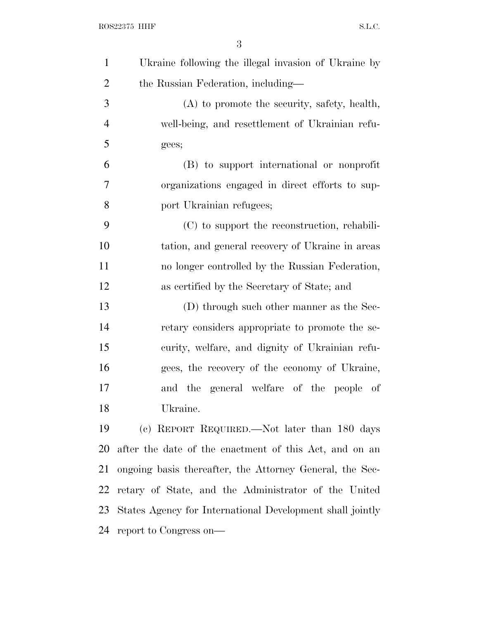| $\mathbf{1}$   | Ukraine following the illegal invasion of Ukraine by      |
|----------------|-----------------------------------------------------------|
| $\overline{2}$ | the Russian Federation, including—                        |
| 3              | $(A)$ to promote the security, safety, health,            |
| $\overline{4}$ | well-being, and resettlement of Ukrainian refu-           |
| 5              | gees;                                                     |
| 6              | (B) to support international or nonprofit                 |
| 7              | organizations engaged in direct efforts to sup-           |
| 8              | port Ukrainian refugees;                                  |
| 9              | (C) to support the reconstruction, rehabili-              |
| 10             | tation, and general recovery of Ukraine in areas          |
| 11             | no longer controlled by the Russian Federation,           |
| 12             | as certified by the Secretary of State; and               |
| 13             | (D) through such other manner as the Sec-                 |
| 14             | retary considers appropriate to promote the se-           |
| 15             | curity, welfare, and dignity of Ukrainian refu-           |
| 16             | gees, the recovery of the economy of Ukraine,             |
| 17             | and the general welfare of the people of                  |
| 18             | Ukraine.                                                  |
| 19             | (c) REPORT REQUIRED.—Not later than 180 days              |
| 20             | after the date of the enactment of this Act, and on an    |
| 21             | ongoing basis thereafter, the Attorney General, the Sec-  |
| 22             | retary of State, and the Administrator of the United      |
| 23             | States Agency for International Development shall jointly |
| 24             | report to Congress on—                                    |